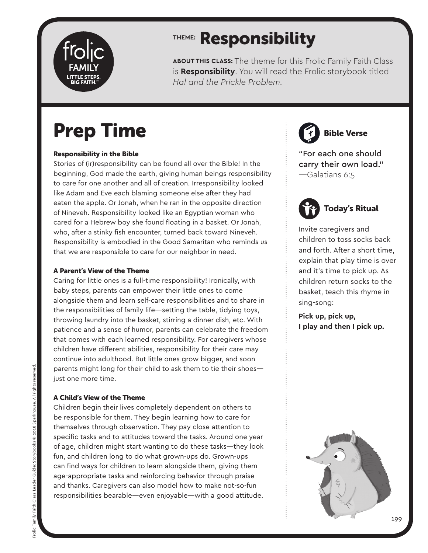

### **THEME:** Responsibility

**ABOUT THIS CLASS:** The theme for this Frolic Family Faith Class is **Responsibility**. You will read the Frolic storybook titled *Hal and the Prickle Problem.*

## Prep Time

#### Responsibility in the Bible

Stories of (ir)responsibility can be found all over the Bible! In the beginning, God made the earth, giving human beings responsibility to care for one another and all of creation. Irresponsibility looked like Adam and Eve each blaming someone else after they had eaten the apple. Or Jonah, when he ran in the opposite direction of Nineveh. Responsibility looked like an Egyptian woman who cared for a Hebrew boy she found floating in a basket. Or Jonah, who, after a stinky fish encounter, turned back toward Nineveh. Responsibility is embodied in the Good Samaritan who reminds us that we are responsible to care for our neighbor in need.

#### A Parent's View of the Theme

Caring for little ones is a full-time responsibility! Ironically, with baby steps, parents can empower their little ones to come alongside them and learn self-care responsibilities and to share in the responsibilities of family life—setting the table, tidying toys, throwing laundry into the basket, stirring a dinner dish, etc. With patience and a sense of humor, parents can celebrate the freedom that comes with each learned responsibility. For caregivers whose children have different abilities, responsibility for their care may continue into adulthood. But little ones grow bigger, and soon parents might long for their child to ask them to tie their shoes just one more time.

#### A Child's View of the Theme

Children begin their lives completely dependent on others to be responsible for them. They begin learning how to care for themselves through observation. They pay close attention to specific tasks and to attitudes toward the tasks. Around one year of age, children might start wanting to do these tasks—they look fun, and children long to do what grown-ups do. Grown-ups can find ways for children to learn alongside them, giving them age-appropriate tasks and reinforcing behavior through praise and thanks. Caregivers can also model how to make not-so-fun responsibilities bearable—even enjoyable—with a good attitude.

Bible Verse

"For each one should carry their own load." —Galatians 6:5



Invite caregivers and children to toss socks back and forth. After a short time, explain that play time is over and it's time to pick up. As children return socks to the basket, teach this rhyme in sing-song:

**Pick up, pick up, I play and then I pick up.**

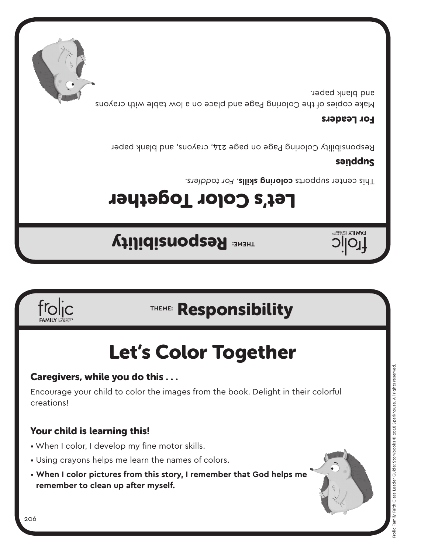## **THEME: Responsibility**

Let's Color Together

Let's Color Together

Encourage your child to color the images from the book. Delight in their colorful

This center supports **coloring skills**. For toddlers.

#### sanddns

Responsibility Coloring Page on page 214, crayons, and blank paper

#### For Leaders

Make copies of the Coloring Page and place on a low table with crayons and blank paper.

### Your child is learning this!

- When I color, I develop my fine motor skills.
- Using crayons helps me learn the names of colors.
- **When I color pictures from this story, I remember that God helps me remember to clean up after myself.**



creations!





Caregivers, while you do this . . .

## **THEME:** Responsibility





**HAMILY BIGRATHE** 

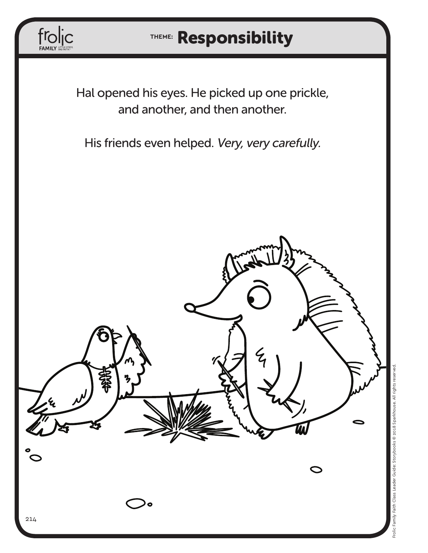

### **THEME:** Responsibility

Hal opened his eyes. He picked up one prickle, and another, and then another.

His friends even helped. Very, very carefully.

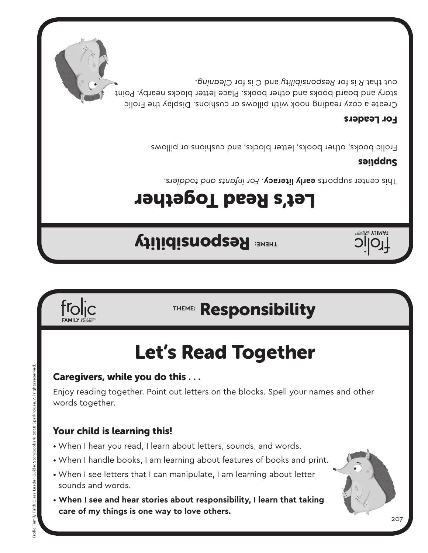### sounds and words.

• **When I see and hear stories about responsibility, I learn that taking care of my things is one way to love others.**

### Your child is learning this!

- When I hear you read, I learn about letters, sounds, and words.
- When I handle books, I am learning about features of books and print.
- When I see letters that I can manipulate, I am learning about letter
- 
- 

Caregivers, while you do this . . .

Enjoy reading together. Point out letters on the blocks. Spell your names and other words together.

# Let's Read Together

## **THEME:** Responsibility

**THEME: Responsibility** 

# Let's Read Together

*For infants and toddlers.* . **early literacy** This center supports

### sanddns

**TJIMAH** 

Frolic books, other books, letter blocks, and cushions or pillows

#### For Leaders

Create a cozy reading nook with pillows or cushions. Display the Frolic story and board books and other books. Place letter blocks nearby. Point out that R is for Responsibility and C is for Cleaning.

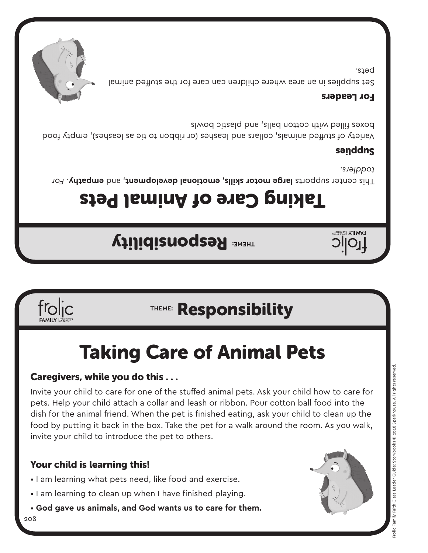### Your child is learning this!

208

- I am learning what pets need, like food and exercise.
- 
- I am learning to clean up when I have finished playing.
- **God gave us animals, and God wants us to care for them.**

Caregivers, while you do this . . .

Invite your child to care for one of the stuffed animal pets. Ask your child how to care for pets. Help your child attach a collar and leash or ribbon. Pour cotton ball food into the dish for the animal friend. When the pet is finished eating, ask your child to clean up the food by putting it back in the box. Take the pet for a walk around the room. As you walk, invite your child to introduce the pet to others.

# Taking Care of Animal Pets

# **THEME:** Responsibility

## **THEME: Responsibility**

Taking Care of Animal Pets

For center supports large motor skills, emotional development, and empathy. For *toddlers.*

#### sanddns

Variety of stuffed animals, collars and leashes (or ribbon to tie as leashes), empty food boxes filled with cotton balls, and plastic bowls

#### For Leaders

Set supplies in an area where children can care for the stuffed animal pets.









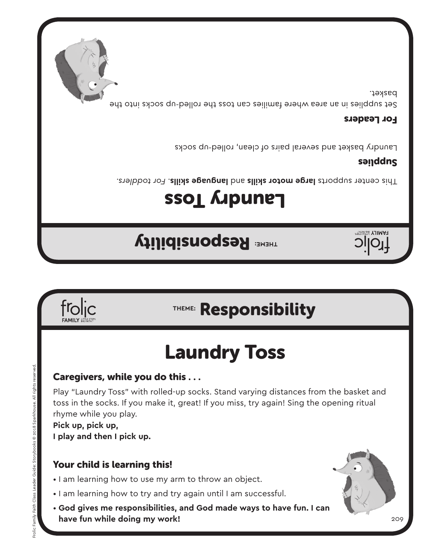**have fun while doing my work!**

#### Your child is learning this!

- I am learning how to use my arm to throw an object.
- I am learning how to try and try again until I am successful.
- **God gives me responsibilities, and God made ways to have fun. I can**

**I play and then I pick up.**

froljc

Frolic Family Faith Class Leader Guide: Storybooks © 2018 Sparkhouse. All rights reserved.

Frolic Family Faith Class Leader

Storybooks @ 2018 Sparkhouse. All rights rese

toss in the socks. If you make it, great! If you miss, try again! Sing the opening ritual rhyme while you play. **Pick up, pick up,**

Caregivers, while you do this . . . Play "Laundry Toss" with rolled-up socks. Stand varying distances from the basket and

# Laundry Toss

## **THEME:** Responsibility

**THEME: Responsibility** 

# SSOL *L*upune

*For toddlers.* . **language skills** and **large motor skills** This center supports

#### sanddns

Laundry basket and several pairs of clean, rolled-up socks

#### For Leaders

Set supplies in an area where families can toss the rolled-up socks into the basket.





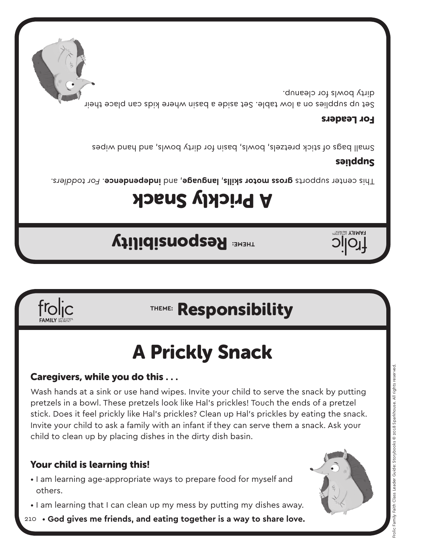### Your child is learning this!

frolic

- I am learning age-appropriate ways to prepare food for myself and others.
- I am learning that I can clean up my mess by putting my dishes away.
- 210 **God gives me friends, and eating together is a way to share love.**



Wash hands at a sink or use hand wipes. Invite your child to serve the snack by putting pretzels in a bowl. These pretzels look like Hal's prickles! Touch the ends of a pretzel stick. Does it feel prickly like Hal's prickles? Clean up Hal's prickles by eating the snack. Invite your child to ask a family with an infant if they can serve them a snack. Ask your child to clean up by placing dishes in the dirty dish basin.

### Caregivers, while you do this . . .

# A Prickly Snack

### **THEME:** Responsibility

## **THEME: Responsibility**

# A Prickly Snack

*For toddlers.* . **independence** , and **language** , **gross motor skills** This center supports

### sanddns

**PAMILY 58** 

Small bags of stick pretzels, bowls, basin for dirty bowls, and hand wipes

#### For Leaders

Set up supplies on a low table. Set aside a basin where kids can place their dirty bowls for cleanup.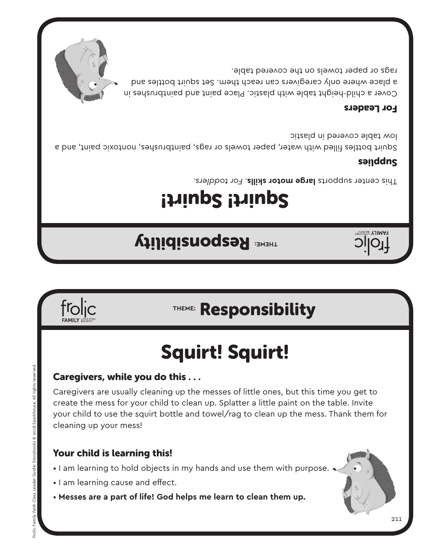Caregivers, while you do this . . .

- I am learning to hold objects in my hands and use them with purpose. •
- I am learning cause and effect.
- **Messes are a part of life! God helps me learn to clean them up.**

#### Your child is learning this!

Caregivers are usually cleaning up the messes of little ones, but this time you get to create the mess for your child to clean up. Splatter a little paint on the table. Invite your child to use the squirt bottle and towel/rag to clean up the mess. Thank them for cleaning up your mess!

# Squirt! Squirt!



### **THEME:** Responsibility

## **THEME: Responsibility**

**FAMILY** 

# Squirt! Squirt!

Fhis center supports large motor skills. For toddlers.

#### sanddns

Squirt bottles filled with water, paper towels or rags, paintbrushes, nontoxic paint, and a low table covered in plastic

#### For Leaders

Cover a child-height table with plastic. Place paint and paintbrushes in a place where only caregivers can reach them. Set squirt bottles and rags or paper towels on the covered table.

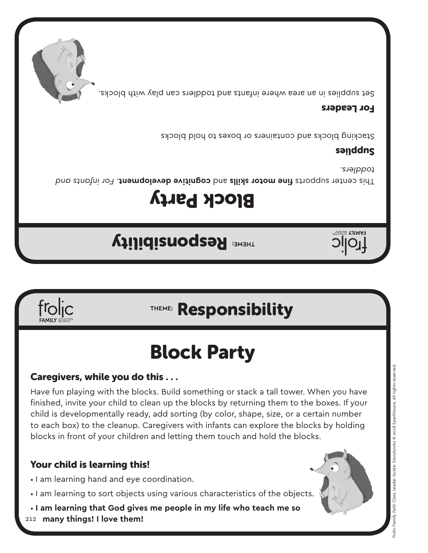### Your child is learning this!

frolic

- I am learning hand and eye coordination.
- I am learning to sort objects using various characteristics of the objects.
- **I am learning that God gives me people in my life who teach me so**
- 212  **many things! I love them!**

Have fun playing with the blocks. Build something or stack a tall tower. When you have finished, invite your child to clean up the blocks by returning them to the boxes. If your child is developmentally ready, add sorting (by color, shape, size, or a certain number to each box) to the cleanup. Caregivers with infants can explore the blocks by holding blocks in front of your children and letting them touch and hold the blocks.

Block Party

### Caregivers, while you do this . . .

## **THEME:** Responsibility

## **THEME:** Responsibility

# Block Party

*For infants and fine motor skills* and **cognitive development**. For infants and *toddlers.*

### sanddns

**PAMILY 58** 

Stacking blocks and containers or boxes to hold blocks

#### For Leaders

Set supplies in an area where infants and toddlers can play with blocks.